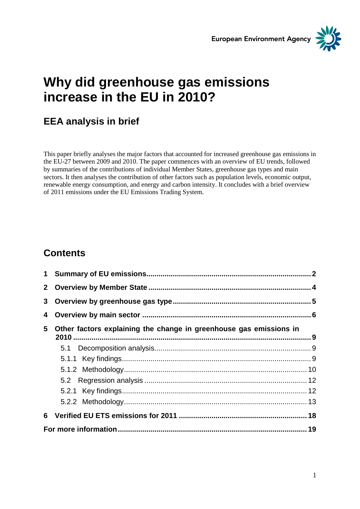



# **Why did greenhouse gas emissions increase in the EU in 2010?**

## **EEA analysis in brief**

This paper briefly analyses the major factors that accounted for increased greenhouse gas emissions in the EU-27 between 2009 and 2010. The paper commences with an overview of EU trends, followed by summaries of the contributions of individual Member States, greenhouse gas types and main sectors. It then analyses the contribution of other factors such as population levels, economic output, renewable energy consumption, and energy and carbon intensity. It concludes with a brief overview of 2011 emissions under the EU Emissions Trading System.

## **Contents**

| 3 <sup>7</sup> |                                                                    |  |  |
|----------------|--------------------------------------------------------------------|--|--|
| 4              |                                                                    |  |  |
| 5              | Other factors explaining the change in greenhouse gas emissions in |  |  |
|                |                                                                    |  |  |
|                |                                                                    |  |  |
|                |                                                                    |  |  |
|                |                                                                    |  |  |
|                |                                                                    |  |  |
|                |                                                                    |  |  |
|                |                                                                    |  |  |
|                |                                                                    |  |  |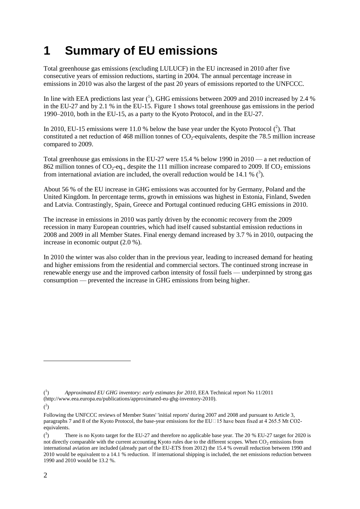# **1 Summary of EU emissions**

Total greenhouse gas emissions (excluding LULUCF) in the EU increased in 2010 after five consecutive years of emission reductions, starting in 2004. The annual percentage increase in emissions in 2010 was also the largest of the past 20 years of emissions reported to the UNFCCC.

In line with EEA predictions last year  $(^1)$ , GHG emissions between 2009 and 2010 increased by 2.4 % in the EU-27 and by 2.1 % in the EU-15. Figure 1 shows total greenhouse gas emissions in the period 1990–2010, both in the EU-15, as a party to the Kyoto Protocol, and in the EU-27.

In 2010, EU-15 emissions were 11.0 % below the base year under the Kyoto Protocol  $(2)$ . That constituted a net reduction of 468 million tonnes of  $CO<sub>2</sub>$ -equivalents, despite the 78.5 million increase compared to 2009.

Total greenhouse gas emissions in the EU-27 were 15.4 % below 1990 in 2010 — a net reduction of 862 million tonnes of  $CO_2$ -eq., despite the 111 million increase compared to 2009. If  $CO_2$  emissions from international aviation are included, the overall reduction would be 14.1 %  $(3)$ .

About 56 % of the EU increase in GHG emissions was accounted for by Germany, Poland and the United Kingdom. In percentage terms, growth in emissions was highest in Estonia, Finland, Sweden and Latvia. Contrastingly, Spain, Greece and Portugal continued reducing GHG emissions in 2010.

The increase in emissions in 2010 was partly driven by the economic recovery from the 2009 recession in many European countries, which had itself caused substantial emission reductions in 2008 and 2009 in all Member States. Final energy demand increased by 3.7 % in 2010, outpacing the increase in economic output (2.0 %).

In 2010 the winter was also colder than in the previous year, leading to increased demand for heating and higher emissions from the residential and commercial sectors. The continued strong increase in renewable energy use and the improved carbon intensity of fossil fuels — underpinned by strong gas consumption — prevented the increase in GHG emissions from being higher.

 $(^2)$ 

 $({}^1$ ) *Approximated EU GHG inventory: early estimates for 2010*, EEA Technical report No 11/2011 (http://www.eea.europa.eu/publications/approximated-eu-ghg-inventory-2010).

Following the UNFCCC reviews of Member States' 'initial reports' during 2007 and 2008 and pursuant to Article 3, paragraphs 7 and 8 of the Kyoto Protocol, the base-year emissions for the EU $\Box$ 15 have been fixed at 4 265.5 Mt CO2equivalents.

 $\int_0^3$ ) There is no Kyoto target for the EU-27 and therefore no applicable base year. The 20 % EU-27 target for 2020 is not directly comparable with the current accounting Kyoto rules due to the different scopes. When  $CO<sub>2</sub>$  emissions from international aviation are included (already part of the EU-ETS from 2012) the 15.4 % overall reduction between 1990 and 2010 would be equivalent to a 14.1 % reduction. If international shipping is included, the net emissions reduction between 1990 and 2010 would be 13.2 %.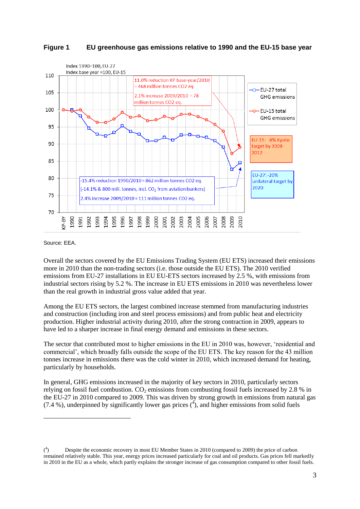



Source: EEA.

 $\overline{a}$ 

Overall the sectors covered by the EU Emissions Trading System (EU ETS) increased their emissions more in 2010 than the non-trading sectors (i.e. those outside the EU ETS). The 2010 verified emissions from EU-27 installations in EU EU-ETS sectors increased by 2.5 %, with emissions from industrial sectors rising by 5.2 %. The increase in EU ETS emissions in 2010 was nevertheless lower than the real growth in industrial gross value added that year.

Among the EU ETS sectors, the largest combined increase stemmed from manufacturing industries and construction (including iron and steel process emissions) and from public heat and electricity production. Higher industrial activity during 2010, after the strong contraction in 2009, appears to have led to a sharper increase in final energy demand and emissions in these sectors.

The sector that contributed most to higher emissions in the EU in 2010 was, however, 'residential and commercial', which broadly falls outside the scope of the EU ETS. The key reason for the 43 million tonnes increase in emissions there was the cold winter in 2010, which increased demand for heating, particularly by households.

In general, GHG emissions increased in the majority of key sectors in 2010, particularly sectors relying on fossil fuel combustion. CO<sub>2</sub> emissions from combusting fossil fuels increased by 2.8 % in the EU-27 in 2010 compared to 2009. This was driven by strong growth in emissions from natural gas (7.4 %), underpinned by significantly lower gas prices  $(4)$ , and higher emissions from solid fuels

 $($ <sup>4</sup> ) Despite the economic recovery in most EU Member States in 2010 (compared to 2009) the price of carbon remained relatively stable. This year, energy prices increased particularly for coal and oil products. Gas prices fell markedly in 2010 in the EU as a whole, which partly explains the stronger increase of gas consumption compared to other fossil fuels.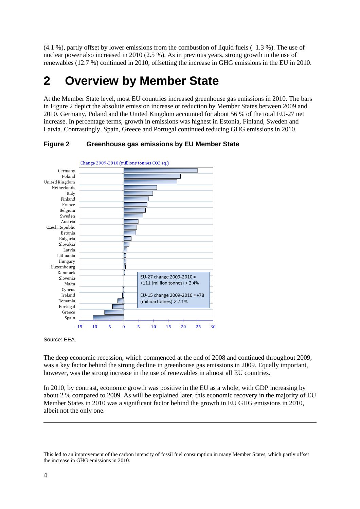$(4.1\%)$ , partly offset by lower emissions from the combustion of liquid fuels  $(-1.3\%)$ . The use of nuclear power also increased in 2010 (2.5 %). As in previous years, strong growth in the use of renewables (12.7 %) continued in 2010, offsetting the increase in GHG emissions in the EU in 2010.

# **2 Overview by Member State**

At the Member State level, most EU countries increased greenhouse gas emissions in 2010. The bars in Figure 2 depict the absolute emission increase or reduction by Member States between 2009 and 2010. Germany, Poland and the United Kingdom accounted for about 56 % of the total EU-27 net increase. In percentage terms, growth in emissions was highest in Estonia, Finland, Sweden and Latvia. Contrastingly, Spain, Greece and Portugal continued reducing GHG emissions in 2010.



**Figure 2 Greenhouse gas emissions by EU Member State**

Source: EEA.

The deep economic recession, which commenced at the end of 2008 and continued throughout 2009, was a key factor behind the strong decline in greenhouse gas emissions in 2009. Equally important, however, was the strong increase in the use of renewables in almost all EU countries.

In 2010, by contrast, economic growth was positive in the EU as a whole, with GDP increasing by about 2 % compared to 2009. As will be explained later, this economic recovery in the majority of EU Member States in 2010 was a significant factor behind the growth in EU GHG emissions in 2010, albeit not the only one.

This led to an improvement of the carbon intensity of fossil fuel consumption in many Member States, which partly offset the increase in GHG emissions in 2010.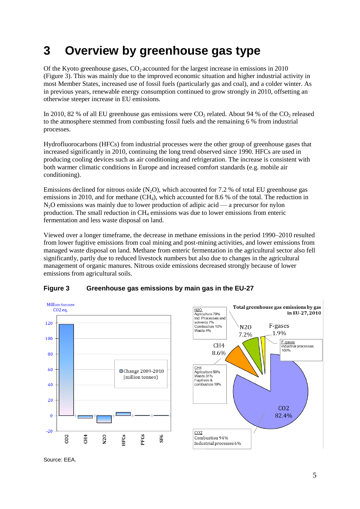# **3 Overview by greenhouse gas type**

Of the Kyoto greenhouse gases,  $CO<sub>2</sub>$  accounted for the largest increase in emissions in 2010 (Figure 3). This was mainly due to the improved economic situation and higher industrial activity in most Member States, increased use of fossil fuels (particularly gas and coal), and a colder winter. As in previous years, renewable energy consumption continued to grow strongly in 2010, offsetting an otherwise steeper increase in EU emissions.

In 2010, 82 % of all EU greenhouse gas emissions were  $CO_2$  related. About 94 % of the  $CO_2$  released to the atmosphere stemmed from combusting fossil fuels and the remaining 6 % from industrial processes.

Hydrofluorocarbons (HFCs) from industrial processes were the other group of greenhouse gases that increased significantly in 2010, continuing the long trend observed since 1990. HFCs are used in producing cooling devices such as air conditioning and refrigeration. The increase is consistent with both warmer climatic conditions in Europe and increased comfort standards (e.g. mobile air conditioning).

Emissions declined for nitrous oxide  $(N_2O)$ , which accounted for 7.2 % of total EU greenhouse gas emissions in 2010, and for methane  $(CH_4)$ , which accounted for 8.6 % of the total. The reduction in N2O emissions was mainly due to lower production of adipic acid — a precursor for nylon production. The small reduction in CH<sup>4</sup> emissions was due to lower emissions from enteric fermentation and less waste disposal on land.

Viewed over a longer timeframe, the decrease in methane emissions in the period 1990–2010 resulted from lower fugitive emissions from coal mining and post-mining activities, and lower emissions from managed waste disposal on land. Methane from enteric fermentation in the agricultural sector also fell significantly, partly due to reduced livestock numbers but also due to changes in the agricultural management of organic manures. Nitrous oxide emissions decreased strongly because of lower emissions from agricultural soils.

### **Figure 3 Greenhouse gas emissions by main gas in the EU-27**





Source: EEA.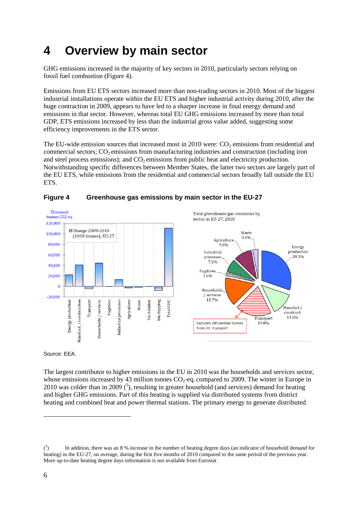# **4 Overview by main sector**

GHG emissions increased in the majority of key sectors in 2010, particularly sectors relying on fossil fuel combustion (Figure 4).

Emissions from EU ETS sectors increased more than non-trading sectors in 2010. Most of the biggest industrial installations operate within the EU ETS and higher industrial activity during 2010, after the huge contraction in 2009, appears to have led to a sharper increase in final energy demand and emissions in that sector. However, whereas total EU GHG emissions increased by more than total GDP, ETS emissions increased by less than the industrial gross value added, suggesting some efficiency improvements in the ETS sector.

The EU-wide emission sources that increased most in 2010 were:  $CO<sub>2</sub>$  emissions from residential and commercial sectors;  $CO<sub>2</sub>$  emissions from manufacturing industries and construction (including iron and steel process emissions); and  $CO<sub>2</sub>$  emissions from public heat and electricity production. Notwithstanding specific differences between Member States, the latter two sectors are largely part of the EU ETS, while emissions from the residential and commercial sectors broadly fall outside the EU ETS.



### **Figure 4 Greenhouse gas emissions by main sector in the EU-27**

Source: EEA.

The largest contributor to higher emissions in the EU in 2010 was the households and services sector, whose emissions increased by 43 million tonnes  $CO<sub>2</sub>$ -eq. compared to 2009. The winter in Europe in 2010 was colder than in 2009  $(5)$ , resulting in greater household (and services) demand for heating and higher GHG emissions. Part of this heating is supplied via distributed systems from district heating and combined heat and power thermal stations. The primary energy to generate distributed

 $\binom{5}{ }$ ) In addition, there was an 8 % increase in the number of heating degree days (an indicator of household demand for heating) in the EU-27, on average, during the first five months of 2010 compared to the same period of the previous year. More up-to-date heating degree days information is not available from Eurostat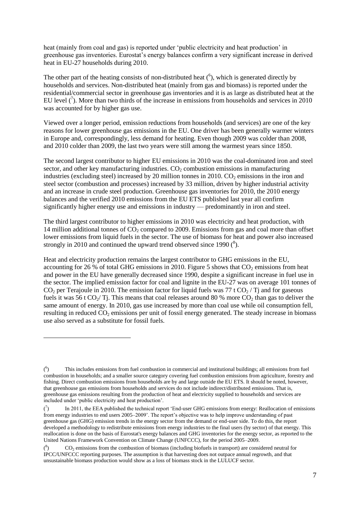heat (mainly from coal and gas) is reported under 'public electricity and heat production' in greenhouse gas inventories. Eurostat's energy balances confirm a very significant increase in derived heat in EU-27 households during 2010.

The other part of the heating consists of non-distributed heat  $(6)$ , which is generated directly by households and services. Non-distributed heat (mainly from gas and biomass) is reported under the residential/commercial sector in greenhouse gas inventories and it is as large as distributed heat at the EU level  $\binom{7}{1}$ . More than two thirds of the increase in emissions from households and services in 2010 was accounted for by higher gas use.

Viewed over a longer period, emission reductions from households (and services) are one of the key reasons for lower greenhouse gas emissions in the EU. One driver has been generally warmer winters in Europe and, correspondingly, less demand for heating. Even though 2009 was colder than 2008, and 2010 colder than 2009, the last two years were still among the warmest years since 1850.

The second largest contributor to higher EU emissions in 2010 was the coal-dominated iron and steel sector, and other key manufacturing industries.  $CO<sub>2</sub>$  combustion emissions in manufacturing industries (excluding steel) increased by 20 million tonnes in 2010.  $CO<sub>2</sub>$  emissions in the iron and steel sector (combustion and processes) increased by 33 million, driven by higher industrial activity and an increase in crude steel production. Greenhouse gas inventories for 2010, the 2010 energy balances and the verified 2010 emissions from the EU ETS published last year all confirm significantly higher energy use and emissions in industry — predominantly in iron and steel.

The third largest contributor to higher emissions in 2010 was electricity and heat production, with 14 million additional tonnes of CO<sub>2</sub> compared to 2009. Emissions from gas and coal more than offset lower emissions from liquid fuels in the sector. The use of biomass for heat and power also increased strongly in 2010 and continued the upward trend observed since 1990  $(^{8})$ .

Heat and electricity production remains the largest contributor to GHG emissions in the EU, accounting for 26 % of total GHG emissions in 2010. Figure 5 shows that  $CO<sub>2</sub>$  emissions from heat and power in the EU have generally decreased since 1990, despite a significant increase in fuel use in the sector. The implied emission factor for coal and lignite in the EU-27 was on average 101 tonnes of  $CO<sub>2</sub>$  per Terajoule in 2010. The emission factor for liquid fuels was 77 t  $CO<sub>2</sub>$  / Tj and for gaseous fuels it was 56 t  $CO_2/T$ . This means that coal releases around 80 % more  $CO_2$  than gas to deliver the same amount of energy. In 2010, gas use increased by more than coal use while oil consumption fell, resulting in reduced  $CO_2$  emissions per unit of fossil energy generated. The steady increase in biomass use also served as a substitute for fossil fuels.

 $($ <sup>6</sup> ) This includes emissions from fuel combustion in commercial and institutional buildings; all emissions from fuel combustion in households; and a smaller source category covering fuel combustion emissions from agriculture, forestry and fishing. Direct combustion emissions from households are by and large outside the EU ETS. It should be noted, however, that greenhouse gas emissions from households and services do not include indirect/distributed emissions. That is, greenhouse gas emissions resulting from the production of heat and electricity supplied to households and services are included under 'public electricity and heat production'.

 $\mathcal{C}$ ) In 2011, the EEA published the technical report 'End-user GHG emissions from energy: Reallocation of emissions from energy industries to end users 2005–2009'. The report's objective was to help improve understanding of past greenhouse gas (GHG) emission trends in the energy sector from the demand or end-user side. To do this, the report developed a methodology to redistribute emissions from energy industries to the final users (by sector) of that energy. This reallocation is done on the basis of Eurostat's energy balances and GHG inventories for the energy sector, as reported to the United Nations Framework Convention on Climate Change (UNFCCC), for the period 2005–2009.

 $(8)$ ) CO<sup>2</sup> emissions from the combustion of biomass (including biofuels in transport) are considered neutral for IPCC/UNFCCC reporting purposes. The assumption is that harvesting does not outpace annual regrowth, and that unsustainable biomass production would show as a loss of biomass stock in the LULUCF sector.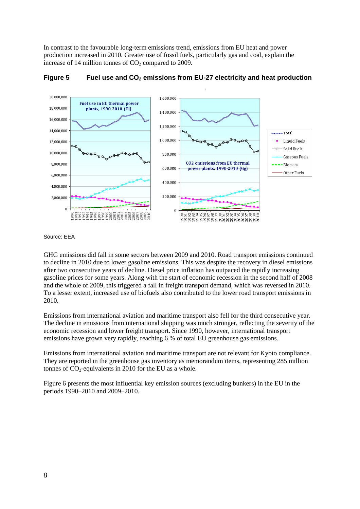In contrast to the favourable long-term emissions trend, emissions from EU heat and power production increased in 2010. Greater use of fossil fuels, particularly gas and coal, explain the increase of 14 million tonnes of  $CO<sub>2</sub>$  compared to 2009.



**Figure 5 Fuel use and CO<sup>2</sup> emissions from EU-27 electricity and heat production** 

Source: EEA

GHG emissions did fall in some sectors between 2009 and 2010. Road transport emissions continued to decline in 2010 due to lower gasoline emissions. This was despite the recovery in diesel emissions after two consecutive years of decline. Diesel price inflation has outpaced the rapidly increasing gasoline prices for some years. Along with the start of economic recession in the second half of 2008 and the whole of 2009, this triggered a fall in freight transport demand, which was reversed in 2010. To a lesser extent, increased use of biofuels also contributed to the lower road transport emissions in 2010.

Emissions from international aviation and maritime transport also fell for the third consecutive year. The decline in emissions from international shipping was much stronger, reflecting the severity of the economic recession and lower freight transport. Since 1990, however, international transport emissions have grown very rapidly, reaching 6 % of total EU greenhouse gas emissions.

Emissions from international aviation and maritime transport are not relevant for Kyoto compliance. They are reported in the greenhouse gas inventory as memorandum items, representing 285 million tonnes of  $CO_2$ -equivalents in 2010 for the EU as a whole.

Figure 6 presents the most influential key emission sources (excluding bunkers) in the EU in the periods 1990–2010 and 2009–2010.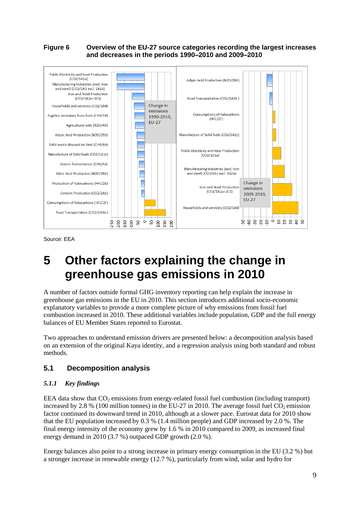#### **Figure 6 Overview of the EU-27 source categories recording the largest increases and decreases in the periods 1990–2010 and 2009–2010**



Source: EEA

# **5 Other factors explaining the change in greenhouse gas emissions in 2010**

A number of factors outside formal GHG inventory reporting can help explain the increase in greenhouse gas emissions in the EU in 2010. This section introduces additional socio-economic explanatory variables to provide a more complete picture of why emissions from fossil fuel combustion increased in 2010. These additional variables include population, GDP and the full energy balances of EU Member States reported to Eurostat.

Two approaches to understand emission drivers are presented below: a decomposition analysis based on an extension of the original Kaya identity, and a regression analysis using both standard and robust methods.

### **5.1 Decomposition analysis**

#### *5.1.1 Key findings*

EEA data show that  $CO<sub>2</sub>$  emissions from energy-related fossil fuel combustion (including transport) increased by 2.8 % (100 million tonnes) in the EU-27 in 2010. The average fossil fuel  $CO<sub>2</sub>$  emission factor continued its downward trend in 2010, although at a slower pace. Eurostat data for 2010 show that the EU population increased by 0.3 % (1.4 million people) and GDP increased by 2.0 %. The final energy intensity of the economy grew by 1.6 % in 2010 compared to 2009, as increased final energy demand in 2010 (3.7 %) outpaced GDP growth (2.0 %).

Energy balances also point to a strong increase in primary energy consumption in the EU (3.2 %) but a stronger increase in renewable energy (12.7 %), particularly from wind, solar and hydro for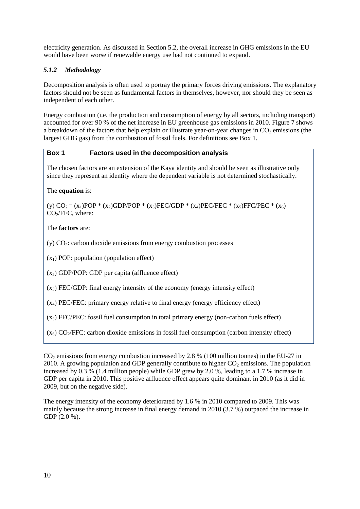electricity generation. As discussed in Section 5.2, the overall increase in GHG emissions in the EU would have been worse if renewable energy use had not continued to expand.

### *5.1.2 Methodology*

Decomposition analysis is often used to portray the primary forces driving emissions. The explanatory factors should not be seen as fundamental factors in themselves, however, nor should they be seen as independent of each other.

Energy combustion (i.e. the production and consumption of energy by all sectors, including transport) accounted for over 90 % of the net increase in EU greenhouse gas emissions in 2010. Figure 7 shows a breakdown of the factors that help explain or illustrate year-on-year changes in  $CO<sub>2</sub>$  emissions (the largest GHG gas) from the combustion of fossil fuels. For definitions see Box 1.

#### **Box 1 Factors used in the decomposition analysis**

The chosen factors are an extension of the Kaya identity and should be seen as illustrative only since they represent an identity where the dependent variable is not determined stochastically.

The **equation** is:

(y)  $CO_2 = (x_1)POP * (x_2) GDP/POP * (x_3) FEC/GDP * (x_4) PEC/FEC * (x_5) FFC/PEC * (x_6)$ CO<sub>2</sub>/FFC, where:

The **factors** are:

 $(y)$  CO<sub>2</sub>: carbon dioxide emissions from energy combustion processes

 $(x_1)$  POP: population (population effect)

 $(x_2)$  GDP/POP: GDP per capita (affluence effect)

 $(x_3)$  FEC/GDP: final energy intensity of the economy (energy intensity effect)

 $(x_4)$  PEC/FEC: primary energy relative to final energy (energy efficiency effect)

 $(x<sub>5</sub>)$  FFC/PEC: fossil fuel consumption in total primary energy (non-carbon fuels effect)

 $(x<sub>6</sub>)$  CO<sub>2</sub>/FFC: carbon dioxide emissions in fossil fuel consumption (carbon intensity effect)

 $CO<sub>2</sub>$  emissions from energy combustion increased by 2.8 % (100 million tonnes) in the EU-27 in 2010. A growing population and GDP generally contribute to higher  $CO<sub>2</sub>$  emissions. The population increased by 0.3 % (1.4 million people) while GDP grew by 2.0 %, leading to a 1.7 % increase in GDP per capita in 2010. This positive affluence effect appears quite dominant in 2010 (as it did in 2009, but on the negative side).

The energy intensity of the economy deteriorated by 1.6 % in 2010 compared to 2009. This was mainly because the strong increase in final energy demand in 2010 (3.7 %) outpaced the increase in GDP (2.0 %).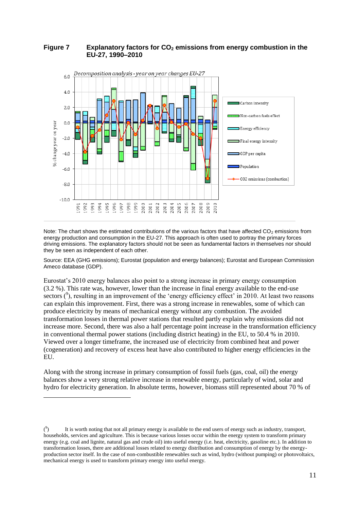#### **Figure 7 Explanatory factors for CO<sup>2</sup> emissions from energy combustion in the EU-27, 1990–2010**



Note: The chart shows the estimated contributions of the various factors that have affected  $CO<sub>2</sub>$  emissions from energy production and consumption in the EU-27. This approach is often used to portray the primary forces driving emissions. The explanatory factors should not be seen as fundamental factors in themselves nor should they be seen as independent of each other.

Source: EEA (GHG emissions); Eurostat (population and energy balances); Eurostat and European Commission Ameco database (GDP).

Eurostat's 2010 energy balances also point to a strong increase in primary energy consumption (3.2 %). This rate was, however, lower than the increase in final energy available to the end-use sectors  $(^9)$ , resulting in an improvement of the 'energy efficiency effect' in 2010. At least two reasons can explain this improvement. First, there was a strong increase in renewables, some of which can produce electricity by means of mechanical energy without any combustion. The avoided transformation losses in thermal power stations that resulted partly explain why emissions did not increase more. Second, there was also a half percentage point increase in the transformation efficiency in conventional thermal power stations (including district heating) in the EU, to 50.4 % in 2010. Viewed over a longer timeframe, the increased use of electricity from combined heat and power (cogeneration) and recovery of excess heat have also contributed to higher energy efficiencies in the EU.

Along with the strong increase in primary consumption of fossil fuels (gas, coal, oil) the energy balances show a very strong relative increase in renewable energy, particularly of wind, solar and hydro for electricity generation. In absolute terms, however, biomass still represented about 70 % of

 $( \degree$ ) It is worth noting that not all primary energy is available to the end users of energy such as industry, transport, households, services and agriculture. This is because various losses occur within the energy system to transform primary energy (e.g. coal and lignite, natural gas and crude oil) into useful energy (i.e. heat, electricity, gasoline etc.). In addition to transformation losses, there are additional losses related to energy distribution and consumption of energy by the energyproduction sector itself. In the case of non-combustible renewables such as wind, hydro (without pumping) or photovoltaics, mechanical energy is used to transform primary energy into useful energy.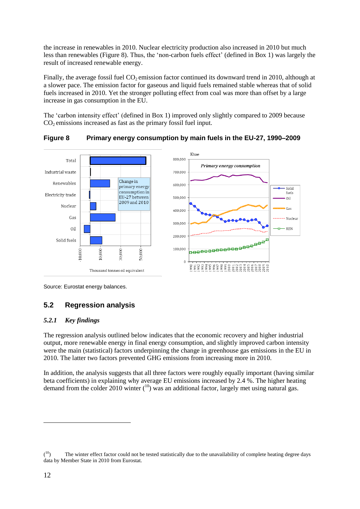the increase in renewables in 2010. Nuclear electricity production also increased in 2010 but much less than renewables (Figure 8). Thus, the 'non-carbon fuels effect' (defined in Box 1) was largely the result of increased renewable energy.

Finally, the average fossil fuel  $CO<sub>2</sub>$  emission factor continued its downward trend in 2010, although at a slower pace. The emission factor for gaseous and liquid fuels remained stable whereas that of solid fuels increased in 2010. Yet the stronger polluting effect from coal was more than offset by a large increase in gas consumption in the EU.

The 'carbon intensity effect' (defined in Box 1) improved only slightly compared to 2009 because  $CO<sub>2</sub>$  emissions increased as fast as the primary fossil fuel input.



**Figure 8 Primary energy consumption by main fuels in the EU-27, 1990–2009**

Source: Eurostat energy balances.

### **5.2 Regression analysis**

#### *5.2.1 Key findings*

The regression analysis outlined below indicates that the economic recovery and higher industrial output, more renewable energy in final energy consumption, and slightly improved carbon intensity were the main (statistical) factors underpinning the change in greenhouse gas emissions in the EU in 2010. The latter two factors prevented GHG emissions from increasing more in 2010.

In addition, the analysis suggests that all three factors were roughly equally important (having similar beta coefficients) in explaining why average EU emissions increased by 2.4 %. The higher heating demand from the colder 2010 winter  $(10)$  was an additional factor, largely met using natural gas.

 $(10)$ The winter effect factor could not be tested statistically due to the unavailability of complete heating degree days data by Member State in 2010 from Eurostat.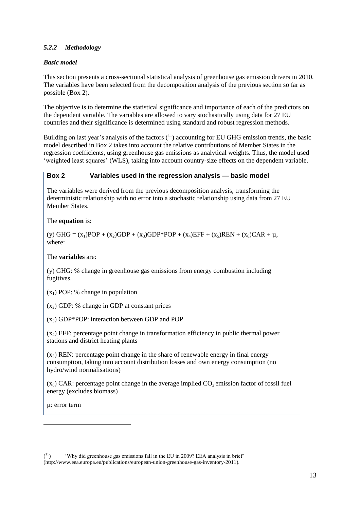#### *5.2.2 Methodology*

#### *Basic model*

This section presents a cross-sectional statistical analysis of greenhouse gas emission drivers in 2010. The variables have been selected from the decomposition analysis of the previous section so far as possible (Box 2).

The objective is to determine the statistical significance and importance of each of the predictors on the dependent variable. The variables are allowed to vary stochastically using data for 27 EU countries and their significance is determined using standard and robust regression methods.

Building on last year's analysis of the factors  $(^{11})$  accounting for EU GHG emission trends, the basic model described in Box 2 takes into account the relative contributions of Member States in the regression coefficients, using greenhouse gas emissions as analytical weights. Thus, the model used 'weighted least squares' (WLS), taking into account country-size effects on the dependent variable.

#### **Box 2 Variables used in the regression analysis — basic model**

The variables were derived from the previous decomposition analysis, transforming the deterministic relationship with no error into a stochastic relationship using data from 27 EU Member States.

The **equation** is:

(y) GHG =  $(x_1)$ POP +  $(x_2)$ GDP +  $(x_3)$ GDP\*POP +  $(x_4)$ EFF +  $(x_5)$ REN +  $(x_6)$ CAR +  $\mu$ , where:

The **variables** are:

(y) GHG: % change in greenhouse gas emissions from energy combustion including fugitives.

 $(x_1)$  POP: % change in population

 $(x<sub>2</sub>)$  GDP: % change in GDP at constant prices

 $(x_3)$  GDP\*POP: interaction between GDP and POP

(x4) EFF: percentage point change in transformation efficiency in public thermal power stations and district heating plants

 $(x<sub>5</sub>)$  REN: percentage point change in the share of renewable energy in final energy consumption, taking into account distribution losses and own energy consumption (no hydro/wind normalisations)

 $(x_6)$  CAR: percentage point change in the average implied  $CO_2$  emission factor of fossil fuel energy (excludes biomass)

µ: error term

 $(11)$ 'Why did greenhouse gas emissions fall in the EU in 2009? EEA analysis in brief' [\(http://www.eea.europa.eu/publications/european-union-greenhouse-gas-inventory-2011\)](http://www.eea.europa.eu/publications/european-union-greenhouse-gas-inventory-2011).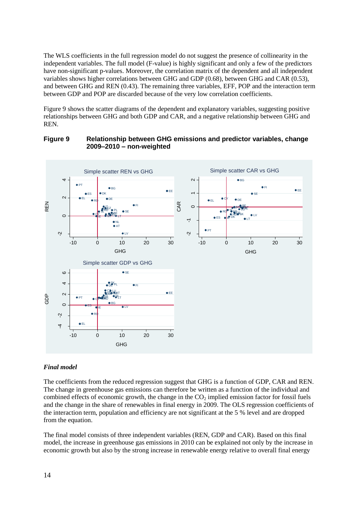The WLS coefficients in the full regression model do not suggest the presence of collinearity in the independent variables. The full model (F-value) is highly significant and only a few of the predictors have non-significant p-values. Moreover, the correlation matrix of the dependent and all independent variables shows higher correlations between GHG and GDP (0.68), between GHG and CAR (0.53), and between GHG and REN (0.43). The remaining three variables, EFF, POP and the interaction term between GDP and POP are discarded because of the very low correlation coefficients.

Figure 9 shows the scatter diagrams of the dependent and explanatory variables, suggesting positive relationships between GHG and both GDP and CAR, and a negative relationship between GHG and REN.

#### **Figure 9 Relationship between GHG emissions and predictor variables, change 2009–2010 – non-weighted**



#### *Final model*

The coefficients from the reduced regression suggest that GHG is a function of GDP, CAR and REN. The change in greenhouse gas emissions can therefore be written as a function of the individual and combined effects of economic growth, the change in the  $CO<sub>2</sub>$  implied emission factor for fossil fuels and the change in the share of renewables in final energy in 2009. The OLS regression coefficients of the interaction term, population and efficiency are not significant at the 5 % level and are dropped from the equation.

The final model consists of three independent variables (REN, GDP and CAR). Based on this final model, the increase in greenhouse gas emissions in 2010 can be explained not only by the increase in economic growth but also by the strong increase in renewable energy relative to overall final energy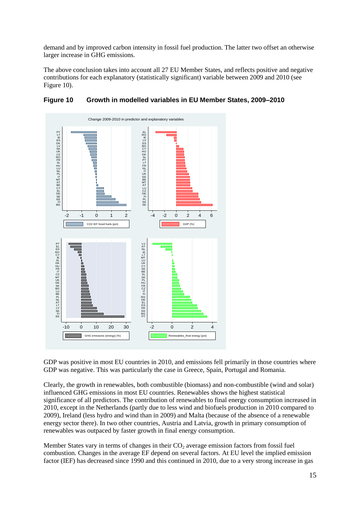demand and by improved carbon intensity in fossil fuel production. The latter two offset an otherwise larger increase in GHG emissions.

The above conclusion takes into account all 27 EU Member States, and reflects positive and negative contributions for each explanatory (statistically significant) variable between 2009 and 2010 (see Figure 10).



### **Figure 10 Growth in modelled variables in EU Member States, 2009–2010**

GDP was positive in most EU countries in 2010, and emissions fell primarily in those countries where GDP was negative. This was particularly the case in Greece, Spain, Portugal and Romania.

Clearly, the growth in renewables, both combustible (biomass) and non-combustible (wind and solar) influenced GHG emissions in most EU countries. Renewables shows the highest statistical significance of all predictors. The contribution of renewables to final energy consumption increased in 2010, except in the Netherlands (partly due to less wind and biofuels production in 2010 compared to 2009), Ireland (less hydro and wind than in 2009) and Malta (because of the absence of a renewable energy sector there). In two other countries, Austria and Latvia, growth in primary consumption of renewables was outpaced by faster growth in final energy consumption.

Member States vary in terms of changes in their  $CO<sub>2</sub>$  average emission factors from fossil fuel combustion. Changes in the average EF depend on several factors. At EU level the implied emission factor (IEF) has decreased since 1990 and this continued in 2010, due to a very strong increase in gas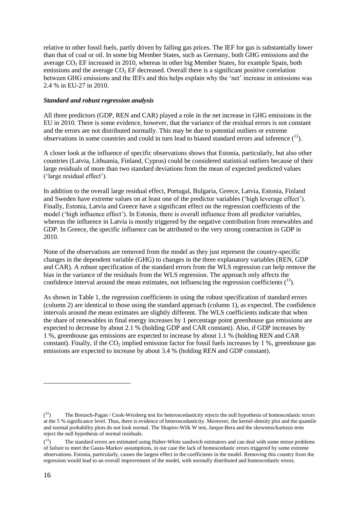relative to other fossil fuels, partly driven by falling gas prices. The IEF for gas is substantially lower than that of coal or oil. In some big Member States, such as Germany, both GHG emissions and the average  $CO<sub>2</sub>$  EF increased in 2010, whereas in other big Member States, for example Spain, both emissions and the average  $CO<sub>2</sub>$  EF decreased. Overall there is a significant positive correlation between GHG emissions and the IEFs and this helps explain why the 'net' increase in emissions was 2.4 % in EU-27 in 2010.

#### *Standard and robust regression analysis*

All three predictors (GDP, REN and CAR) played a role in the net increase in GHG emissions in the EU in 2010. There is some evidence, however, that the variance of the residual errors is not constant and the errors are not distributed normally. This may be due to potential outliers or extreme observations in some countries and could in turn lead to biased standard errors and inference  $(^{12})$ .

A closer look at the influence of specific observations shows that Estonia, particularly, but also other countries (Latvia, Lithuania, Finland, Cyprus) could be considered statistical outliers because of their large residuals of more than two standard deviations from the mean of expected predicted values ('large residual effect').

In addition to the overall large residual effect, Portugal, Bulgaria, Greece, Latvia, Estonia, Finland and Sweden have extreme values on at least one of the predictor variables ('high leverage effect'). Finally, Estonia, Latvia and Greece have a significant effect on the regression coefficients of the model ('high influence effect'). In Estonia, there is overall influence from all predictor variables, whereas the influence in Latvia is mostly triggered by the negative contribution from renewables and GDP. In Greece, the specific influence can be attributed to the very strong contraction in GDP in 2010.

None of the observations are removed from the model as they just represent the country-specific changes in the dependent variable (GHG) to changes in the three explanatory variables (REN, GDP and CAR). A robust specification of the standard errors from the WLS regression can help remove the bias in the variance of the residuals from the WLS regression. The approach only affects the confidence interval around the mean estimates, not influencing the regression coefficients  $(^{13})$ .

As shown in Table 1, the regression coefficients in using the robust specification of standard errors (column 2) are identical to those using the standard approach (column 1), as expected. The confidence intervals around the mean estimates are slightly different. The WLS coefficients indicate that when the share of renewables in final energy increases by 1 percentage point greenhouse gas emissions are expected to decrease by about 2.1 % (holding GDP and CAR constant). Also, if GDP increases by 1 %, greenhouse gas emissions are expected to increase by about 1.1 % (holding REN and CAR constant). Finally, if the  $CO_2$  implied emission factor for fossil fuels increases by 1 %, greenhouse gas emissions are expected to increase by about 3.4 % (holding REN and GDP constant).

 $(1^2)$ <sup>12</sup>) The Breusch-Pagan / Cook-Weisberg test for heteroscedasticity rejects the null hypothesis of homoscedastic errors at the 5 % significance level. Thus, there is evidence of heteroscedasticity. Moreover, the kernel-density plot and the quantile and normal probability plots do not look normal. The Shapiro-Wilk W test, Jarque-Bera and the skewness/kurtosis tests reject the null hypothesis of normal residuals.

 $\binom{13}{ }$ The standard errors are estimated using Huber-White sandwich estimators and can deal with some minor problems of failure to meet the Gauss-Markov assumptions, in our case the lack of homoscedastic errors triggered by some extreme observations. Estonia, particularly, causes the largest effect in the coefficients in the model. Removing this country from the regression would lead to an overall improvement of the model, with normally distributed and homoscedastic errors.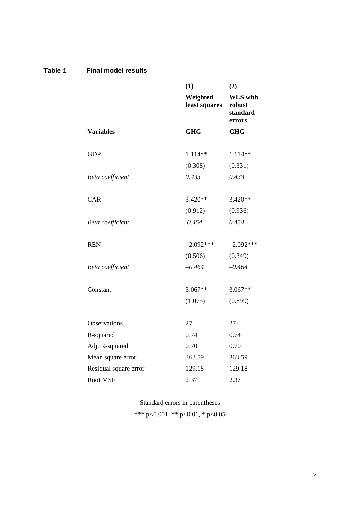|                       | (1)                       | (2)                                             |
|-----------------------|---------------------------|-------------------------------------------------|
|                       | Weighted<br>least squares | <b>WLS</b> with<br>robust<br>standard<br>errors |
| <b>Variables</b>      | <b>GHG</b>                | <b>GHG</b>                                      |
|                       |                           |                                                 |
| <b>GDP</b>            | 1.114**                   | 1.114**                                         |
|                       | (0.308)                   | (0.331)                                         |
| Beta coefficient      | 0.433                     | 0.433                                           |
|                       |                           |                                                 |
| CAR                   | $3.420**$                 | 3.420**                                         |
|                       | (0.912)                   | (0.936)                                         |
| Beta coefficient      | 0.454                     | 0.454                                           |
|                       |                           |                                                 |
| <b>REN</b>            | $-2.092***$               | $-2.092***$                                     |
|                       | (0.506)                   | (0.349)                                         |
| Beta coefficient      | $-0.464$                  | $-0.464$                                        |
|                       |                           |                                                 |
| Constant              | 3.067**                   | $3.067**$                                       |
|                       | (1.075)                   | (0.899)                                         |
|                       |                           |                                                 |
| Observations          | 27                        | 27                                              |
| R-squared             | 0.74                      | 0.74                                            |
| Adj. R-squared        | 0.70                      | 0.70                                            |
| Mean square error     | 363.59                    | 363.59                                          |
| Residual square error | 129.18                    | 129.18                                          |
| <b>Root MSE</b>       | 2.37                      | 2.37                                            |

### **Table 1 Final model results**

Standard errors in parentheses \*\*\* p<0.001, \*\* p<0.01, \* p<0.05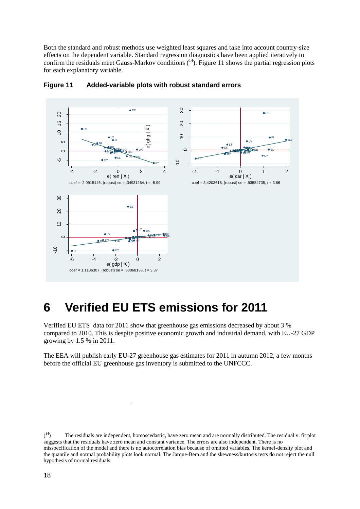Both the standard and robust methods use weighted least squares and take into account country-size effects on the dependent variable. Standard regression diagnostics have been applied iteratively to confirm the residuals meet Gauss-Markov conditions  $(14)$ . Figure 11 shows the partial regression plots for each explanatory variable.



#### **Figure 11 Added-variable plots with robust standard errors**

## **6 Verified EU ETS emissions for 2011**

Verified EU ETS data for 2011 show that greenhouse gas emissions decreased by about 3 % compared to 2010. This is despite positive economic growth and industrial demand, with EU-27 GDP growing by 1.5 % in 2011.

The EEA will publish early EU-27 greenhouse gas estimates for 2011 in autumn 2012, a few months before the official EU greenhouse gas inventory is submitted to the UNFCCC.

 $(^{14})$ The residuals are independent, homoscedastic, have zero mean and are normally distributed. The residual v. fit plot suggests that the residuals have zero mean and constant variance. The errors are also independent. There is no misspecification of the model and there is no autocorrelation bias because of omitted variables. The kernel-density plot and the quantile and normal probability plots look normal. The Jarque-Bera and the skewness/kurtosis tests do not reject the null hypothesis of normal residuals.